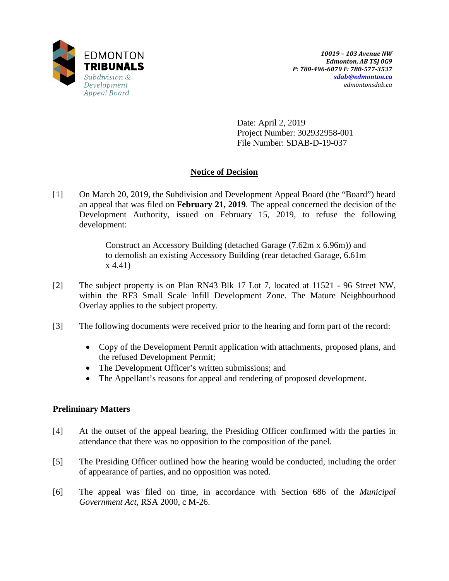

Date: April 2, 2019 Project Number: 302932958-001 File Number: SDAB-D-19-037

# **Notice of Decision**

[1] On March 20, 2019, the Subdivision and Development Appeal Board (the "Board") heard an appeal that was filed on **February 21, 2019**. The appeal concerned the decision of the Development Authority, issued on February 15, 2019, to refuse the following development:

> Construct an Accessory Building (detached Garage (7.62m x 6.96m)) and to demolish an existing Accessory Building (rear detached Garage, 6.61m x 4.41)

- [2] The subject property is on Plan RN43 Blk 17 Lot 7, located at 11521 96 Street NW, within the RF3 Small Scale Infill Development Zone. The Mature Neighbourhood Overlay applies to the subject property.
- [3] The following documents were received prior to the hearing and form part of the record:
	- Copy of the Development Permit application with attachments, proposed plans, and the refused Development Permit;
	- The Development Officer's written submissions; and
	- The Appellant's reasons for appeal and rendering of proposed development.

# **Preliminary Matters**

- [4] At the outset of the appeal hearing, the Presiding Officer confirmed with the parties in attendance that there was no opposition to the composition of the panel.
- [5] The Presiding Officer outlined how the hearing would be conducted, including the order of appearance of parties, and no opposition was noted.
- [6] The appeal was filed on time, in accordance with Section 686 of the *Municipal Government Act*, RSA 2000, c M-26.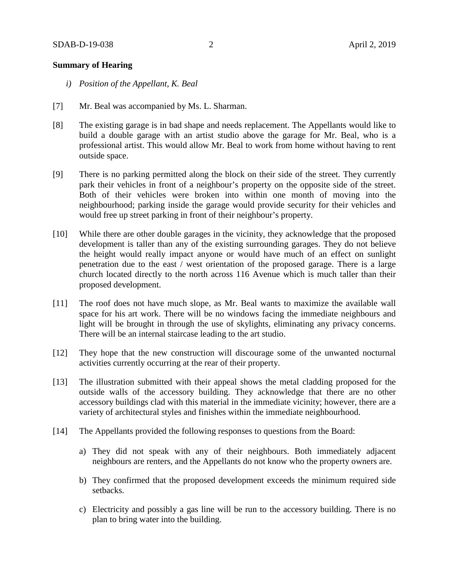### **Summary of Hearing**

- *i) Position of the Appellant, K. Beal*
- [7] Mr. Beal was accompanied by Ms. L. Sharman.
- [8] The existing garage is in bad shape and needs replacement. The Appellants would like to build a double garage with an artist studio above the garage for Mr. Beal, who is a professional artist. This would allow Mr. Beal to work from home without having to rent outside space.
- [9] There is no parking permitted along the block on their side of the street. They currently park their vehicles in front of a neighbour's property on the opposite side of the street. Both of their vehicles were broken into within one month of moving into the neighbourhood; parking inside the garage would provide security for their vehicles and would free up street parking in front of their neighbour's property.
- [10] While there are other double garages in the vicinity, they acknowledge that the proposed development is taller than any of the existing surrounding garages. They do not believe the height would really impact anyone or would have much of an effect on sunlight penetration due to the east / west orientation of the proposed garage. There is a large church located directly to the north across 116 Avenue which is much taller than their proposed development.
- [11] The roof does not have much slope, as Mr. Beal wants to maximize the available wall space for his art work. There will be no windows facing the immediate neighbours and light will be brought in through the use of skylights, eliminating any privacy concerns. There will be an internal staircase leading to the art studio.
- [12] They hope that the new construction will discourage some of the unwanted nocturnal activities currently occurring at the rear of their property.
- [13] The illustration submitted with their appeal shows the metal cladding proposed for the outside walls of the accessory building. They acknowledge that there are no other accessory buildings clad with this material in the immediate vicinity; however, there are a variety of architectural styles and finishes within the immediate neighbourhood.
- [14] The Appellants provided the following responses to questions from the Board:
	- a) They did not speak with any of their neighbours. Both immediately adjacent neighbours are renters, and the Appellants do not know who the property owners are.
	- b) They confirmed that the proposed development exceeds the minimum required side setbacks.
	- c) Electricity and possibly a gas line will be run to the accessory building. There is no plan to bring water into the building.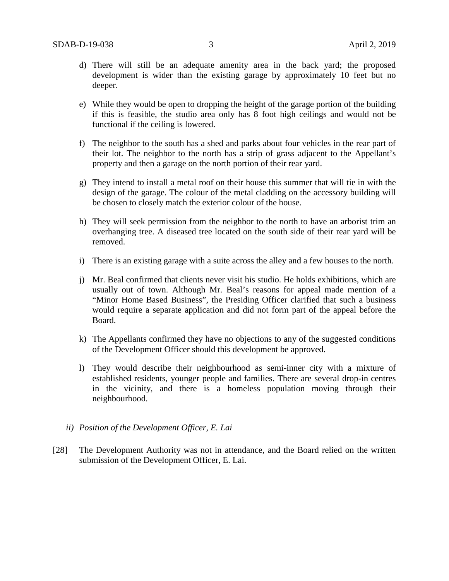- d) There will still be an adequate amenity area in the back yard; the proposed development is wider than the existing garage by approximately 10 feet but no deeper.
- e) While they would be open to dropping the height of the garage portion of the building if this is feasible, the studio area only has 8 foot high ceilings and would not be functional if the ceiling is lowered.
- f) The neighbor to the south has a shed and parks about four vehicles in the rear part of their lot. The neighbor to the north has a strip of grass adjacent to the Appellant's property and then a garage on the north portion of their rear yard.
- g) They intend to install a metal roof on their house this summer that will tie in with the design of the garage. The colour of the metal cladding on the accessory building will be chosen to closely match the exterior colour of the house.
- h) They will seek permission from the neighbor to the north to have an arborist trim an overhanging tree. A diseased tree located on the south side of their rear yard will be removed.
- i) There is an existing garage with a suite across the alley and a few houses to the north.
- j) Mr. Beal confirmed that clients never visit his studio. He holds exhibitions, which are usually out of town. Although Mr. Beal's reasons for appeal made mention of a "Minor Home Based Business", the Presiding Officer clarified that such a business would require a separate application and did not form part of the appeal before the Board.
- k) The Appellants confirmed they have no objections to any of the suggested conditions of the Development Officer should this development be approved.
- l) They would describe their neighbourhood as semi-inner city with a mixture of established residents, younger people and families. There are several drop-in centres in the vicinity, and there is a homeless population moving through their neighbourhood.
- *ii) Position of the Development Officer, E. Lai*
- [28] The Development Authority was not in attendance, and the Board relied on the written submission of the Development Officer, E. Lai.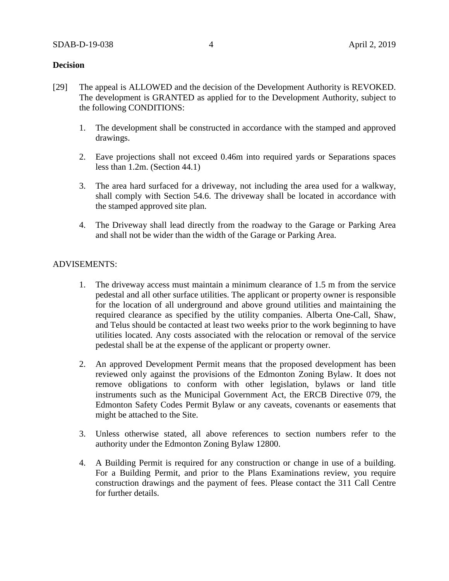### **Decision**

- [29] The appeal is ALLOWED and the decision of the Development Authority is REVOKED. The development is GRANTED as applied for to the Development Authority, subject to the following CONDITIONS:
	- 1. The development shall be constructed in accordance with the stamped and approved drawings.
	- 2. Eave projections shall not exceed 0.46m into required yards or Separations spaces less than 1.2m. (Section 44.1)
	- 3. The area hard surfaced for a driveway, not including the area used for a walkway, shall comply with Section 54.6. The driveway shall be located in accordance with the stamped approved site plan.
	- 4. The Driveway shall lead directly from the roadway to the Garage or Parking Area and shall not be wider than the width of the Garage or Parking Area.

#### ADVISEMENTS:

- 1. The driveway access must maintain a minimum clearance of 1.5 m from the service pedestal and all other surface utilities. The applicant or property owner is responsible for the location of all underground and above ground utilities and maintaining the required clearance as specified by the utility companies. Alberta One-Call, Shaw, and Telus should be contacted at least two weeks prior to the work beginning to have utilities located. Any costs associated with the relocation or removal of the service pedestal shall be at the expense of the applicant or property owner.
- 2. An approved Development Permit means that the proposed development has been reviewed only against the provisions of the Edmonton Zoning Bylaw. It does not remove obligations to conform with other legislation, bylaws or land title instruments such as the Municipal Government Act, the ERCB Directive 079, the Edmonton Safety Codes Permit Bylaw or any caveats, covenants or easements that might be attached to the Site.
- 3. Unless otherwise stated, all above references to section numbers refer to the authority under the Edmonton Zoning Bylaw 12800.
- 4. A Building Permit is required for any construction or change in use of a building. For a Building Permit, and prior to the Plans Examinations review, you require construction drawings and the payment of fees. Please contact the 311 Call Centre for further details.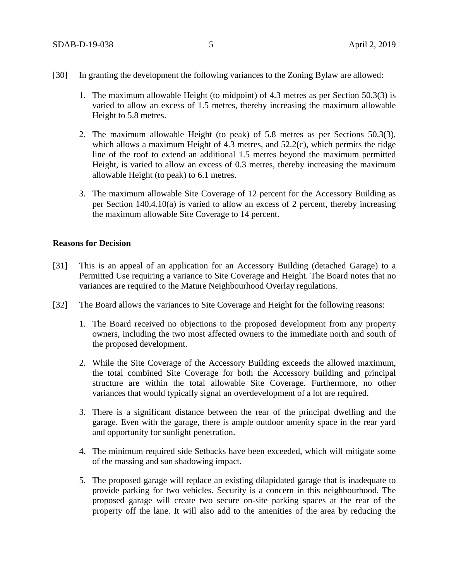- 1. The maximum allowable Height (to midpoint) of 4.3 metres as per Section 50.3(3) is varied to allow an excess of 1.5 metres, thereby increasing the maximum allowable Height to 5.8 metres.
- 2. The maximum allowable Height (to peak) of 5.8 metres as per Sections 50.3(3), which allows a maximum Height of 4.3 metres, and 52.2(c), which permits the ridge line of the roof to extend an additional 1.5 metres beyond the maximum permitted Height, is varied to allow an excess of 0.3 metres, thereby increasing the maximum allowable Height (to peak) to 6.1 metres.
- 3. The maximum allowable Site Coverage of 12 percent for the Accessory Building as per Section 140.4.10(a) is varied to allow an excess of 2 percent, thereby increasing the maximum allowable Site Coverage to 14 percent.

### **Reasons for Decision**

- [31] This is an appeal of an application for an Accessory Building (detached Garage) to a Permitted Use requiring a variance to Site Coverage and Height. The Board notes that no variances are required to the Mature Neighbourhood Overlay regulations.
- [32] The Board allows the variances to Site Coverage and Height for the following reasons:
	- 1. The Board received no objections to the proposed development from any property owners, including the two most affected owners to the immediate north and south of the proposed development.
	- 2. While the Site Coverage of the Accessory Building exceeds the allowed maximum, the total combined Site Coverage for both the Accessory building and principal structure are within the total allowable Site Coverage. Furthermore, no other variances that would typically signal an overdevelopment of a lot are required.
	- 3. There is a significant distance between the rear of the principal dwelling and the garage. Even with the garage, there is ample outdoor amenity space in the rear yard and opportunity for sunlight penetration.
	- 4. The minimum required side Setbacks have been exceeded, which will mitigate some of the massing and sun shadowing impact.
	- 5. The proposed garage will replace an existing dilapidated garage that is inadequate to provide parking for two vehicles. Security is a concern in this neighbourhood. The proposed garage will create two secure on-site parking spaces at the rear of the property off the lane. It will also add to the amenities of the area by reducing the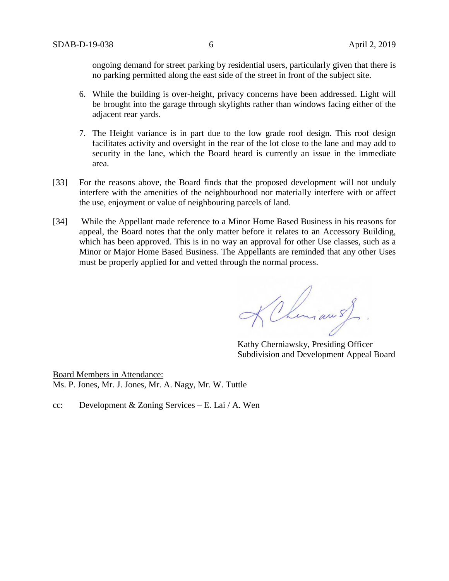ongoing demand for street parking by residential users, particularly given that there is no parking permitted along the east side of the street in front of the subject site.

- 6. While the building is over-height, privacy concerns have been addressed. Light will be brought into the garage through skylights rather than windows facing either of the adjacent rear yards.
- 7. The Height variance is in part due to the low grade roof design. This roof design facilitates activity and oversight in the rear of the lot close to the lane and may add to security in the lane, which the Board heard is currently an issue in the immediate area.
- [33] For the reasons above, the Board finds that the proposed development will not unduly interfere with the amenities of the neighbourhood nor materially interfere with or affect the use, enjoyment or value of neighbouring parcels of land.
- [34] While the Appellant made reference to a Minor Home Based Business in his reasons for appeal, the Board notes that the only matter before it relates to an Accessory Building, which has been approved. This is in no way an approval for other Use classes, such as a Minor or Major Home Based Business. The Appellants are reminded that any other Uses must be properly applied for and vetted through the normal process.

KChiman of

Kathy Cherniawsky, Presiding Officer Subdivision and Development Appeal Board

Board Members in Attendance: Ms. P. Jones, Mr. J. Jones, Mr. A. Nagy, Mr. W. Tuttle

cc: Development & Zoning Services – E. Lai / A. Wen